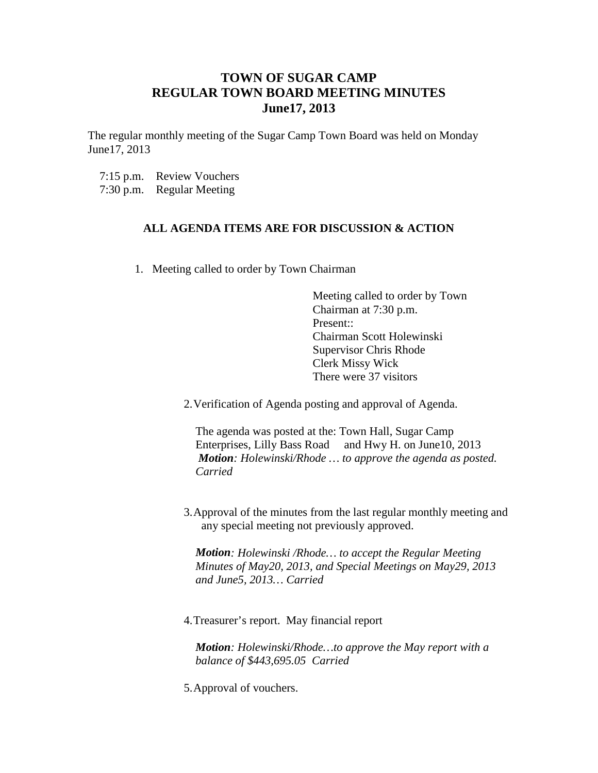## **TOWN OF SUGAR CAMP REGULAR TOWN BOARD MEETING MINUTES June17, 2013**

The regular monthly meeting of the Sugar Camp Town Board was held on Monday June17, 2013

7:15 p.m. Review Vouchers 7:30 p.m. Regular Meeting

## **ALL AGENDA ITEMS ARE FOR DISCUSSION & ACTION**

1. Meeting called to order by Town Chairman

Meeting called to order by Town Chairman at 7:30 p.m. Present:: Chairman Scott Holewinski Supervisor Chris Rhode Clerk Missy Wick There were 37 visitors

2.Verification of Agenda posting and approval of Agenda.

The agenda was posted at the: Town Hall, Sugar Camp Enterprises, Lilly Bass Road and Hwy H. on June10, 2013 *Motion: Holewinski/Rhode … to approve the agenda as posted. Carried*

3.Approval of the minutes from the last regular monthly meeting and any special meeting not previously approved.

*Motion: Holewinski /Rhode… to accept the Regular Meeting Minutes of May20, 2013, and Special Meetings on May29, 2013 and June5, 2013… Carried*

4.Treasurer's report. May financial report

*Motion: Holewinski/Rhode…to approve the May report with a balance of \$443,695.05 Carried*

5.Approval of vouchers.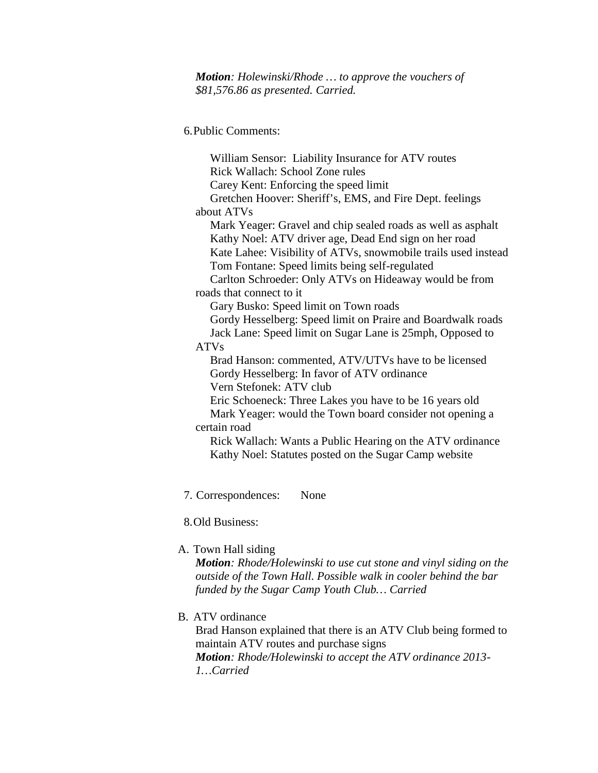*Motion: Holewinski/Rhode … to approve the vouchers of \$81,576.86 as presented. Carried.*

6.Public Comments:

 William Sensor: Liability Insurance for ATV routes Rick Wallach: School Zone rules Carey Kent: Enforcing the speed limit Gretchen Hoover: Sheriff's, EMS, and Fire Dept. feelings about ATVs Mark Yeager: Gravel and chip sealed roads as well as asphalt Kathy Noel: ATV driver age, Dead End sign on her road Kate Lahee: Visibility of ATVs, snowmobile trails used instead Tom Fontane: Speed limits being self-regulated Carlton Schroeder: Only ATVs on Hideaway would be from roads that connect to it Gary Busko: Speed limit on Town roads Gordy Hesselberg: Speed limit on Praire and Boardwalk roads Jack Lane: Speed limit on Sugar Lane is 25mph, Opposed to ATVs Brad Hanson: commented, ATV/UTVs have to be licensed Gordy Hesselberg: In favor of ATV ordinance Vern Stefonek: ATV club Eric Schoeneck: Three Lakes you have to be 16 years old Mark Yeager: would the Town board consider not opening a certain road Rick Wallach: Wants a Public Hearing on the ATV ordinance Kathy Noel: Statutes posted on the Sugar Camp website

7. Correspondences: None

8.Old Business:

A. Town Hall siding

*Motion: Rhode/Holewinski to use cut stone and vinyl siding on the outside of the Town Hall. Possible walk in cooler behind the bar funded by the Sugar Camp Youth Club… Carried*

B. ATV ordinance

Brad Hanson explained that there is an ATV Club being formed to maintain ATV routes and purchase signs *Motion: Rhode/Holewinski to accept the ATV ordinance 2013- 1…Carried*